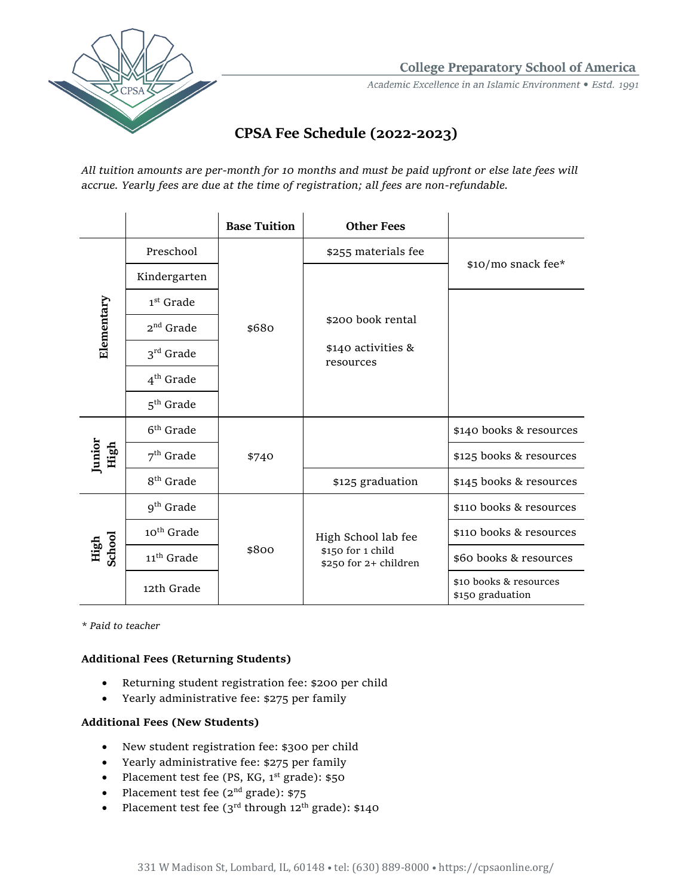

**College Preparatory School of America** 

Academic Excellence in an Islamic Environment • Estd. 1991

# **CPSA Fee Schedule (2022-2023)**

*All tuition amounts are per-month for 10 months and must be paid upfront or else late fees will accrue. Yearly fees are due at the time of registration; all fees are non-refundable.*

|                |                        | <b>Base Tuition</b> | <b>Other Fees</b>                                                 |                                            |  |
|----------------|------------------------|---------------------|-------------------------------------------------------------------|--------------------------------------------|--|
| Elementary     | Preschool              | \$680               | \$255 materials fee                                               | \$10/mo snack fee*                         |  |
|                | Kindergarten           |                     |                                                                   |                                            |  |
|                | $1st$ Grade            |                     |                                                                   |                                            |  |
|                | $2nd$ Grade            |                     | \$200 book rental<br>$$140$ activities &<br>resources             |                                            |  |
|                | $3rd$ Grade            |                     |                                                                   |                                            |  |
|                | $4th$ Grade            |                     |                                                                   |                                            |  |
|                | $5th$ Grade            |                     |                                                                   |                                            |  |
| Junior<br>High | $6th$ Grade            | \$740               |                                                                   | \$140 books & resources                    |  |
|                | $7th$ Grade            |                     |                                                                   | \$125 books & resources                    |  |
|                | 8 <sup>th</sup> Grade  |                     | \$125 graduation                                                  | \$145 books & resources                    |  |
| High<br>School | $9th$ Grade            | \$800               | High School lab fee<br>\$150 for 1 child<br>\$250 for 2+ children | \$110 books & resources                    |  |
|                | 10 <sup>th</sup> Grade |                     |                                                                   | \$110 books & resources                    |  |
|                | 11 <sup>th</sup> Grade |                     |                                                                   | \$60 books & resources                     |  |
|                | 12th Grade             |                     |                                                                   | \$10 books & resources<br>\$150 graduation |  |

*\* Paid to teacher*

### **Additional Fees (Returning Students)**

- Returning student registration fee: \$200 per child
- Yearly administrative fee: \$275 per family

#### **Additional Fees (New Students)**

- New student registration fee: \$300 per child
- Yearly administrative fee: \$275 per family
- Placement test fee (PS, KG,  $1<sup>st</sup>$  grade): \$50
- Placement test fee  $(2^{nd}$  grade): \$75
- Placement test fee  $(3<sup>rd</sup>$  through  $12<sup>th</sup>$  grade): \$140